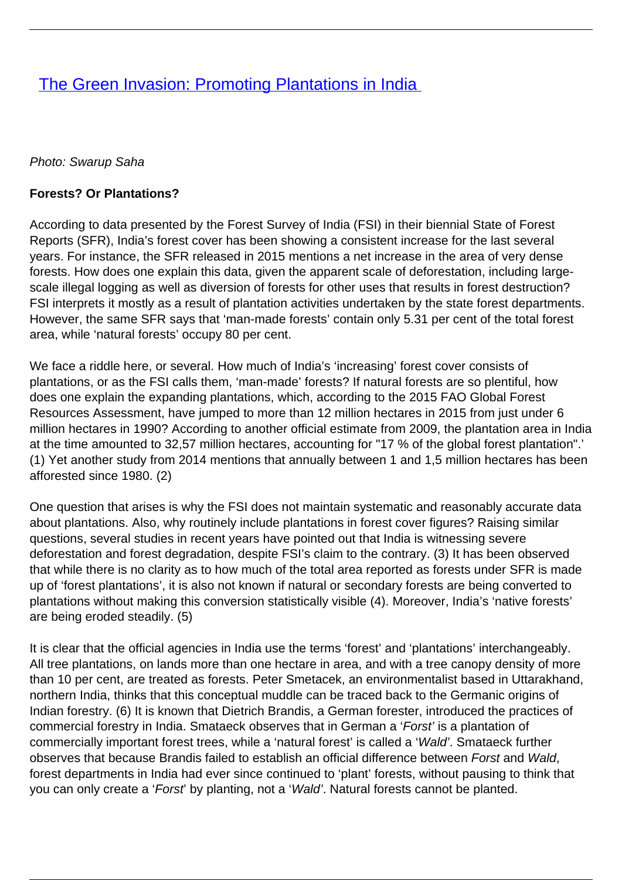# **[The Green Invasion: Promoting Plantations in India](/bulletin-articles/the-green-invasion-promoting-plantations-in-india)**

#### Photo: Swarup Saha

#### **Forests? Or Plantations?**

According to data presented by the Forest Survey of India (FSI) in their biennial State of Forest Reports (SFR), India's forest cover has been showing a consistent increase for the last several years. For instance, the SFR released in 2015 mentions a net increase in the area of very dense forests. How does one explain this data, given the apparent scale of deforestation, including largescale illegal logging as well as diversion of forests for other uses that results in forest destruction? FSI interprets it mostly as a result of plantation activities undertaken by the state forest departments. However, the same SFR says that 'man-made forests' contain only 5.31 per cent of the total forest area, while 'natural forests' occupy 80 per cent.

We face a riddle here, or several. How much of India's 'increasing' forest cover consists of plantations, or as the FSI calls them, 'man-made' forests? If natural forests are so plentiful, how does one explain the expanding plantations, which, according to the 2015 FAO Global Forest Resources Assessment, have jumped to more than 12 million hectares in 2015 from just under 6 million hectares in 1990? According to another official estimate from 2009, the plantation area in India at the time amounted to 32,57 million hectares, accounting for "17 % of the global forest plantation".' (1) Yet another study from 2014 mentions that annually between 1 and 1,5 million hectares has been afforested since 1980. (2)

One question that arises is why the FSI does not maintain systematic and reasonably accurate data about plantations. Also, why routinely include plantations in forest cover figures? Raising similar questions, several studies in recent years have pointed out that India is witnessing severe deforestation and forest degradation, despite FSI's claim to the contrary. (3) It has been observed that while there is no clarity as to how much of the total area reported as forests under SFR is made up of 'forest plantations', it is also not known if natural or secondary forests are being converted to plantations without making this conversion statistically visible (4). Moreover, India's 'native forests' are being eroded steadily. (5)

It is clear that the official agencies in India use the terms 'forest' and 'plantations' interchangeably. All tree plantations, on lands more than one hectare in area, and with a tree canopy density of more than 10 per cent, are treated as forests. Peter Smetacek, an environmentalist based in Uttarakhand, northern India, thinks that this conceptual muddle can be traced back to the Germanic origins of Indian forestry. (6) It is known that Dietrich Brandis, a German forester, introduced the practices of commercial forestry in India. Smataeck observes that in German a 'Forst' is a plantation of commercially important forest trees, while a 'natural forest' is called a 'Wald'. Smataeck further observes that because Brandis failed to establish an official difference between Forst and Wald, forest departments in India had ever since continued to 'plant' forests, without pausing to think that you can only create a 'Forst' by planting, not a 'Wald'. Natural forests cannot be planted.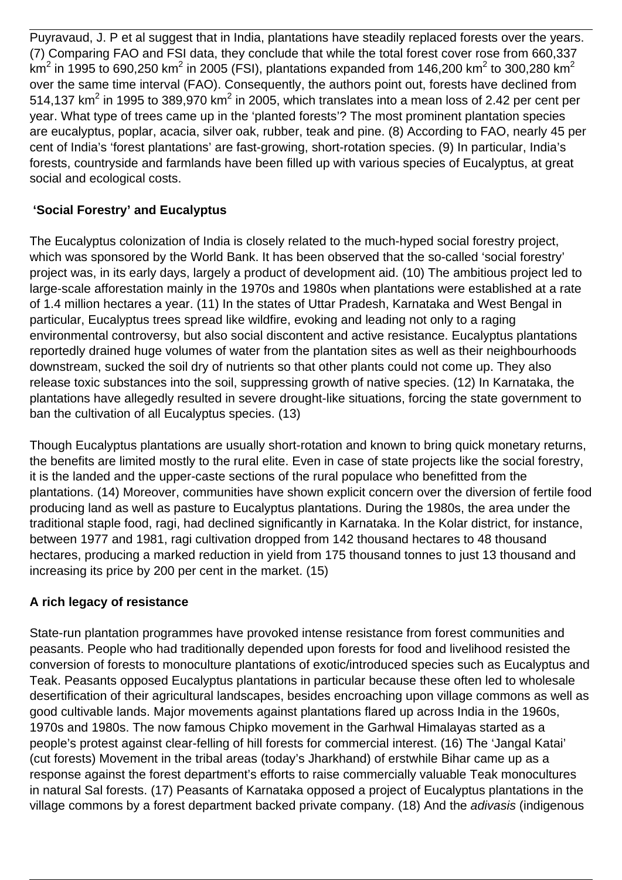Puyravaud, J. P et al suggest that in India, plantations have steadily replaced forests over the years. (7) Comparing FAO and FSI data, they conclude that while the total forest cover rose from 660,337 km $^2$  in 1995 to 690,250 km $^2$  in 2005 (FSI), plantations expanded from 146,200 km $^2$  to 300,280 km $^2$ over the same time interval (FAO). Consequently, the authors point out, forests have declined from 514,137 km<sup>2</sup> in 1995 to 389,970 km<sup>2</sup> in 2005, which translates into a mean loss of 2.42 per cent per year. What type of trees came up in the 'planted forests'? The most prominent plantation species are eucalyptus, poplar, acacia, silver oak, rubber, teak and pine. (8) According to FAO, nearly 45 per cent of India's 'forest plantations' are fast-growing, short-rotation species. (9) In particular, India's forests, countryside and farmlands have been filled up with various species of Eucalyptus, at great social and ecological costs.

## **'Social Forestry' and Eucalyptus**

The Eucalyptus colonization of India is closely related to the much-hyped social forestry project, which was sponsored by the World Bank. It has been observed that the so-called 'social forestry' project was, in its early days, largely a product of development aid. (10) The ambitious project led to large-scale afforestation mainly in the 1970s and 1980s when plantations were established at a rate of 1.4 million hectares a year. (11) In the states of Uttar Pradesh, Karnataka and West Bengal in particular, Eucalyptus trees spread like wildfire, evoking and leading not only to a raging environmental controversy, but also social discontent and active resistance. Eucalyptus plantations reportedly drained huge volumes of water from the plantation sites as well as their neighbourhoods downstream, sucked the soil dry of nutrients so that other plants could not come up. They also release toxic substances into the soil, suppressing growth of native species. (12) In Karnataka, the plantations have allegedly resulted in severe drought-like situations, forcing the state government to ban the cultivation of all Eucalyptus species. (13)

Though Eucalyptus plantations are usually short-rotation and known to bring quick monetary returns, the benefits are limited mostly to the rural elite. Even in case of state projects like the social forestry, it is the landed and the upper-caste sections of the rural populace who benefitted from the plantations. (14) Moreover, communities have shown explicit concern over the diversion of fertile food producing land as well as pasture to Eucalyptus plantations. During the 1980s, the area under the traditional staple food, ragi, had declined significantly in Karnataka. In the Kolar district, for instance, between 1977 and 1981, ragi cultivation dropped from 142 thousand hectares to 48 thousand hectares, producing a marked reduction in yield from 175 thousand tonnes to just 13 thousand and increasing its price by 200 per cent in the market. (15)

## **A rich legacy of resistance**

State-run plantation programmes have provoked intense resistance from forest communities and peasants. People who had traditionally depended upon forests for food and livelihood resisted the conversion of forests to monoculture plantations of exotic/introduced species such as Eucalyptus and Teak. Peasants opposed Eucalyptus plantations in particular because these often led to wholesale desertification of their agricultural landscapes, besides encroaching upon village commons as well as good cultivable lands. Major movements against plantations flared up across India in the 1960s, 1970s and 1980s. The now famous Chipko movement in the Garhwal Himalayas started as a people's protest against clear-felling of hill forests for commercial interest. (16) The 'Jangal Katai' (cut forests) Movement in the tribal areas (today's Jharkhand) of erstwhile Bihar came up as a response against the forest department's efforts to raise commercially valuable Teak monocultures in natural Sal forests. (17) Peasants of Karnataka opposed a project of Eucalyptus plantations in the village commons by a forest department backed private company. (18) And the adivasis (indigenous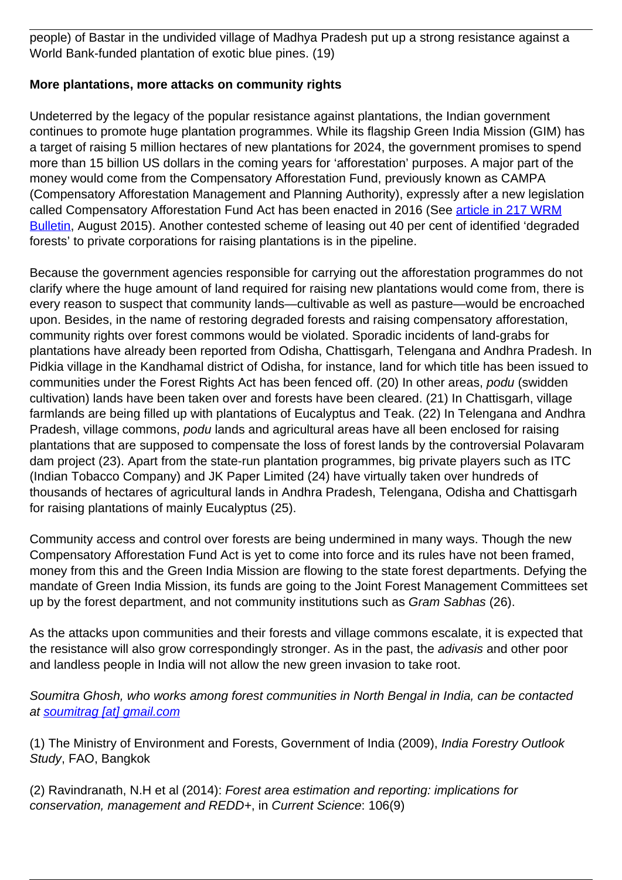people) of Bastar in the undivided village of Madhya Pradesh put up a strong resistance against a World Bank-funded plantation of exotic blue pines. (19)

### **More plantations, more attacks on community rights**

Undeterred by the legacy of the popular resistance against plantations, the Indian government continues to promote huge plantation programmes. While its flagship Green India Mission (GIM) has a target of raising 5 million hectares of new plantations for 2024, the government promises to spend more than 15 billion US dollars in the coming years for 'afforestation' purposes. A major part of the money would come from the Compensatory Afforestation Fund, previously known as CAMPA (Compensatory Afforestation Management and Planning Authority), expressly after a new legislation called Compensatory Afforestation Fund Act has been enacted in 2016 (See [article in 217 WRM](http://wrm.org.uy/articles-from-the-wrm-bulletin/section1/deforestation-funds-more-plantations-the-new-compensatory-afforestation-fund-bill-in-india) [Bulletin,](http://wrm.org.uy/articles-from-the-wrm-bulletin/section1/deforestation-funds-more-plantations-the-new-compensatory-afforestation-fund-bill-in-india) August 2015). Another contested scheme of leasing out 40 per cent of identified 'degraded forests' to private corporations for raising plantations is in the pipeline.

Because the government agencies responsible for carrying out the afforestation programmes do not clarify where the huge amount of land required for raising new plantations would come from, there is every reason to suspect that community lands—cultivable as well as pasture—would be encroached upon. Besides, in the name of restoring degraded forests and raising compensatory afforestation, community rights over forest commons would be violated. Sporadic incidents of land-grabs for plantations have already been reported from Odisha, Chattisgarh, Telengana and Andhra Pradesh. In Pidkia village in the Kandhamal district of Odisha, for instance, land for which title has been issued to communities under the Forest Rights Act has been fenced off. (20) In other areas, podu (swidden cultivation) lands have been taken over and forests have been cleared. (21) In Chattisgarh, village farmlands are being filled up with plantations of Eucalyptus and Teak. (22) In Telengana and Andhra Pradesh, village commons, podu lands and agricultural areas have all been enclosed for raising plantations that are supposed to compensate the loss of forest lands by the controversial Polavaram dam project (23). Apart from the state-run plantation programmes, big private players such as ITC (Indian Tobacco Company) and JK Paper Limited (24) have virtually taken over hundreds of thousands of hectares of agricultural lands in Andhra Pradesh, Telengana, Odisha and Chattisgarh for raising plantations of mainly Eucalyptus (25).

Community access and control over forests are being undermined in many ways. Though the new Compensatory Afforestation Fund Act is yet to come into force and its rules have not been framed, money from this and the Green India Mission are flowing to the state forest departments. Defying the mandate of Green India Mission, its funds are going to the Joint Forest Management Committees set up by the forest department, and not community institutions such as Gram Sabhas (26).

As the attacks upon communities and their forests and village commons escalate, it is expected that the resistance will also grow correspondingly stronger. As in the past, the adivasis and other poor and landless people in India will not allow the new green invasion to take root.

Soumitra Ghosh, who works among forest communities in North Bengal in India, can be contacted at [soumitrag \[at\] gmail.com](mailto:soumitrag@gmail.com)

(1) The Ministry of Environment and Forests, Government of India (2009), India Forestry Outlook Study, FAO, Bangkok

(2) Ravindranath, N.H et al (2014): Forest area estimation and reporting: implications for conservation, management and REDD+, in Current Science: 106(9)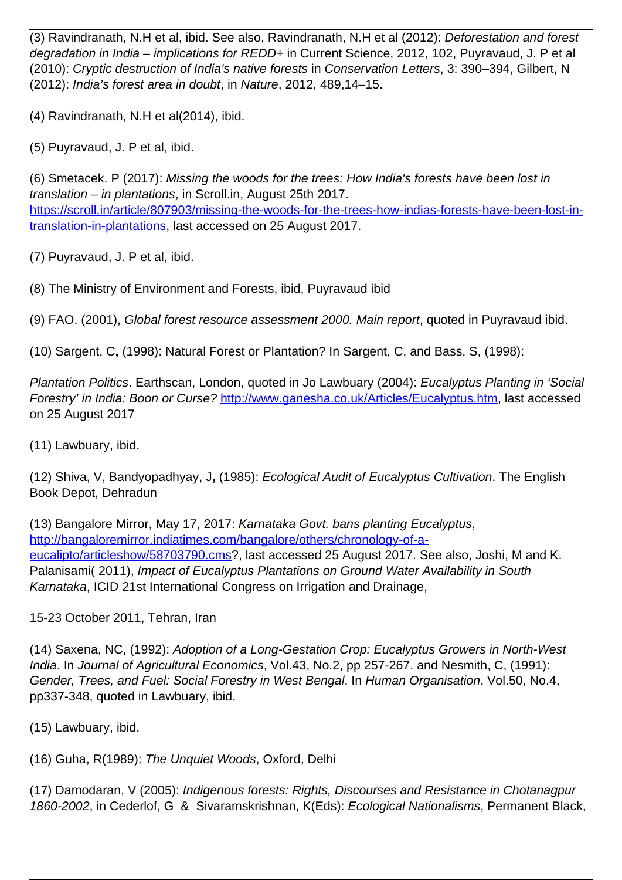(3) Ravindranath, N.H et al, ibid. See also, Ravindranath, N.H et al (2012): Deforestation and forest degradation in India – implications for REDD+ in Current Science, 2012, 102, Puyravaud, J. P et al (2010): Cryptic destruction of India's native forests in Conservation Letters, 3: 390–394, Gilbert, N (2012): India's forest area in doubt, in Nature, 2012, 489,14–15.

(4) Ravindranath, N.H et al(2014), ibid.

(5) Puyravaud, J. P et al, ibid.

(6) Smetacek. P (2017): Missing the woods for the trees: How India's forests have been lost in translation – in plantations, in Scroll.in, August 25th 2017. [https://scroll.in/article/807903/missing-the-woods-for-the-trees-how-indias-forests-have-been-lost-in](https://scroll.in/article/807903/missing-the-woods-for-the-trees-how-indias-forests-have-been-lost-in-translation-in-plantations)[translation-in-plantations](https://scroll.in/article/807903/missing-the-woods-for-the-trees-how-indias-forests-have-been-lost-in-translation-in-plantations), last accessed on 25 August 2017.

(7) Puyravaud, J. P et al, ibid.

(8) The Ministry of Environment and Forests, ibid, Puyravaud ibid

(9) FAO. (2001), Global forest resource assessment 2000. Main report, quoted in Puyravaud ibid.

(10) Sargent, C**,** (1998): Natural Forest or Plantation? In Sargent, C, and Bass, S, (1998):

Plantation Politics. Earthscan, London, quoted in Jo Lawbuary (2004): Eucalyptus Planting in 'Social Forestry' in India: Boon or Curse? [http://www.ganesha.co.uk/Articles/Eucalyptus.htm,](http://www.ganesha.co.uk/Articles/Eucalyptus.htm) last accessed on 25 August 2017

(11) Lawbuary, ibid.

(12) Shiva, V, Bandyopadhyay, J**,** (1985): Ecological Audit of Eucalyptus Cultivation. The English Book Depot, Dehradun

(13) Bangalore Mirror, May 17, 2017: Karnataka Govt. bans planting Eucalyptus, [http://bangaloremirror.indiatimes.com/bangalore/others/chronology-of-a](http://bangaloremirror.indiatimes.com/bangalore/others/chronology-of-a-eucalipto/articleshow/58703790.cms)[eucalipto/articleshow/58703790.cms?](http://bangaloremirror.indiatimes.com/bangalore/others/chronology-of-a-eucalipto/articleshow/58703790.cms), last accessed 25 August 2017. See also, Joshi, M and K. Palanisami( 2011), Impact of Eucalyptus Plantations on Ground Water Availability in South Karnataka, ICID 21st International Congress on Irrigation and Drainage,

15-23 October 2011, Tehran, Iran

(14) Saxena, NC, (1992): Adoption of a Long-Gestation Crop: Eucalyptus Growers in North-West India. In Journal of Agricultural Economics, Vol.43, No.2, pp 257-267. and Nesmith, C, (1991): Gender, Trees, and Fuel: Social Forestry in West Bengal. In Human Organisation, Vol.50, No.4, pp337-348, quoted in Lawbuary, ibid.

(15) Lawbuary, ibid.

(16) Guha, R(1989): The Unquiet Woods, Oxford, Delhi

(17) Damodaran, V (2005): Indigenous forests: Rights, Discourses and Resistance in Chotanagpur 1860-2002, in Cederlof, G & Sivaramskrishnan, K(Eds): Ecological Nationalisms, Permanent Black,